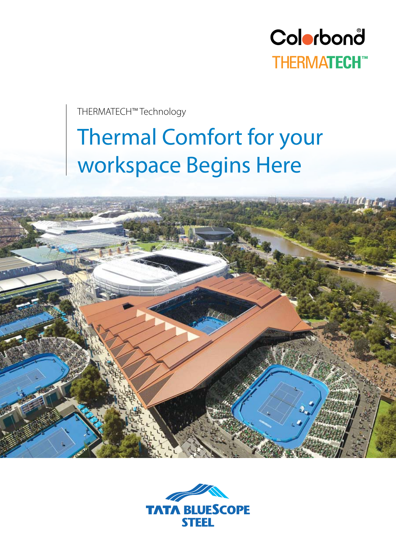

THERMATECH™ Technology

# Thermal Comfort for your workspace Begins Here



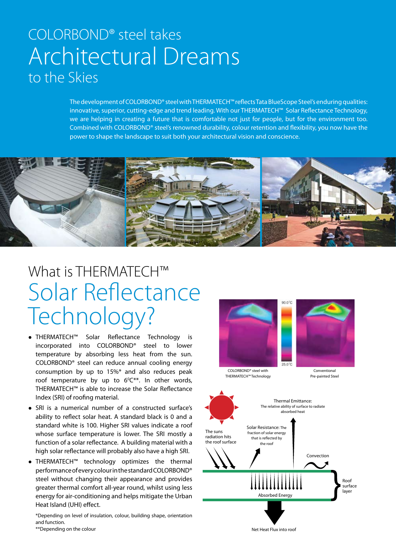### COLORBOND® steel takes Architectural Dreams to the Skies

The development of COLORBOND® steel with THERMATECH™ reflects Tata BlueScope Steel's enduring qualities: innovative, superior, cutting-edge and trend leading. With our THERMATECH™ Solar Reflectance Technology, we are helping in creating a future that is comfortable not just for people, but for the environment too. Combined with COLORBOND® steel's renowned durability, colour retention and flexibility, you now have the power to shape the landscape to suit both your architectural vision and conscience.



## What is THERMATECH™ Solar Reflectance Technology?

- THERMATECH™ Solar Reflectance Technology is incorporated into COLORBOND® steel to lower temperature by absorbing less heat from the sun. COLORBOND® steel can reduce annual cooling energy consumption by up to 15%\* and also reduces peak roof temperature by up to  $6^{\circ}C^{**}$ . In other words, THERMATECH™ is able to increase the Solar Reflectance Index (SRI) of roofing material.
- SRI is a numerical number of a constructed surface's ability to reflect solar heat. A standard black is 0 and a standard white is 100. Higher SRI values indicate a roof whose surface temperature is lower. The SRI mostly a function of a solar reflectance. A building material with a high solar reflectance will probably also have a high SRI.
- THERMATECH™ technology optimizes the thermal performance of every colour in the standard COLORBOND® steel without changing their appearance and provides greater thermal comfort all-year round, whilst using less energy for air-conditioning and helps mitigate the Urban Heat Island (UHI) effect.

\*Depending on level of insulation, colour, building shape, orientation and function.



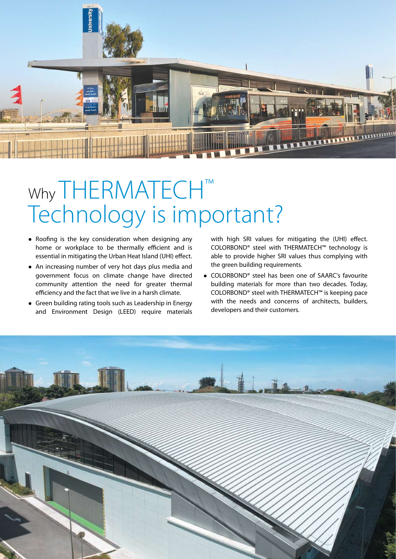

# Why THERMATECH<sup>™</sup> Technology is important?

- Roofing is the key consideration when designing any home or workplace to be thermally efficient and is essential in mitigating the Urban Heat Island (UHI) effect.
- An increasing number of very hot days plus media and government focus on climate change have directed community attention the need for greater thermal efficiency and the fact that we live in a harsh climate.
- Green building rating tools such as Leadership in Energy and Environment Design (LEED) require materials

with high SRI values for mitigating the (UHI) effect. COLORBOND® steel with THERMATECH™ technology is able to provide higher SRI values thus complying with the green building requirements.

• COLORBOND® steel has been one of SAARC's favourite building materials for more than two decades. Today, COLORBOND® steel with THERMATECH™ is keeping pace with the needs and concerns of architects, builders, developers and their customers.

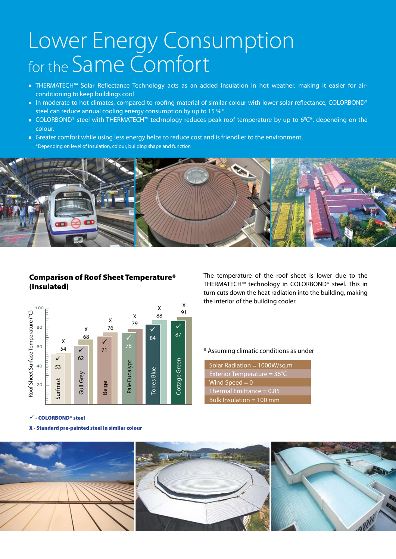# Lower Energy Consumption for the Same Comfort

- THERMATECH™ Solar Reflectance Technology acts as an added insulation in hot weather, making it easier for airconditioning to keep buildings cool
- In moderate to hot climates, compared to roofing material of similar colour with lower solar reflectance, COLORBOND® steel can reduce annual cooling energy consumption by up to 15 %\*.
- COLORBOND® steel with THERMATECH™ technology reduces peak roof temperature by up to 6<sup>0</sup>C\*, depending on the colour.
- Greater comfort while using less energy helps to reduce cost and is friendlier to the environment. \*Depending on level of insulation, colour, building shape and function



### Comparison of Roof Sheet Temperature\* (Insulated)



 $\checkmark$  - COLORBOND® steel

X - Standard pre-painted steel in similar colour

The temperature of the roof sheet is lower due to the THERMATECH™ technology in COLORBOND® steel. This in turn cuts down the heat radiation into the building, making the interior of the building cooler.

#### \* Assuming climatic conditions as under

Solar Radiation = 1000W/sq.m Exterior Temperature = 36°C Wind Speed  $= 0$ Thermal Emittance = 0.85 Bulk Insulation = 100 mm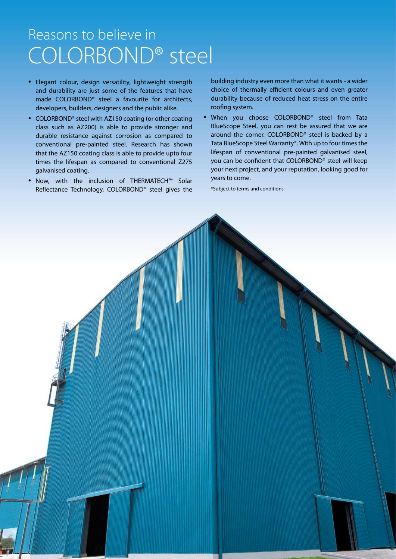### Reasons to believe in COLORBOND® steel

- Elegant colour, design versatility, lightweight strength and durability are just some of the features that have made COLORBOND® steel a favourite for architects, developers, builders, designers and the public alike.
- COLORBOND® steel with AZ150 coating (or other coating class such as AZ200) is able to provide stronger and durable resistance against corrosion as compared to conventional pre-painted steel. Research has shown that the AZ150 coating class is able to provide upto four times the lifespan as compared to conventional Z275 galvanised coating.
- Now, with the inclusion of THERMATECH™ Solar Reflectance Technology, COLORBOND® steel gives the

building industry even more than what it wants - a wider choice of thermally efficient colours and even greater durability because of reduced heat stress on the entire roofing system.

• When you choose COLORBOND® steel from Tata BlueScope Steel, you can rest be assured that we are around the corner. COLORBOND® steel is backed by a Tata BlueScope Steel Warranty\*. With up to four times the lifespan of conventional pre-painted galvanised steel, you can be confident that COLORBOND® steel will keep your next project, and your reputation, looking good for years to come.

\*Subject to terms and conditions